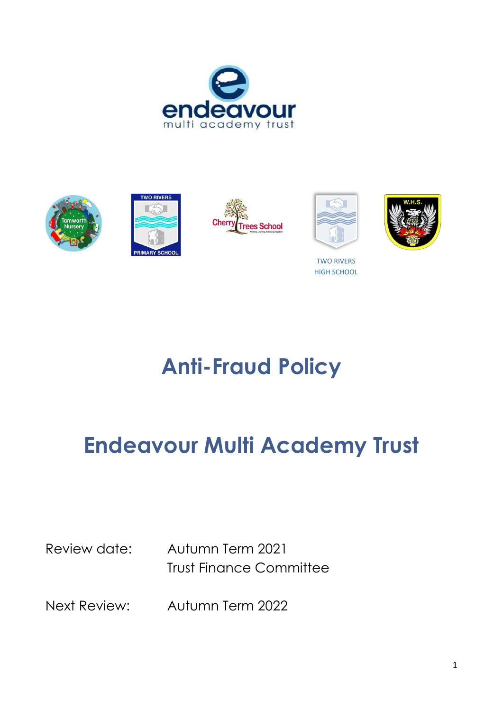









TWO RIVERS HIGH SCHOOL



**Anti-Fraud Policy**

# **Endeavour Multi Academy Trust**

Review date: Autumn Term 2021 Trust Finance Committee

Next Review: Autumn Term 2022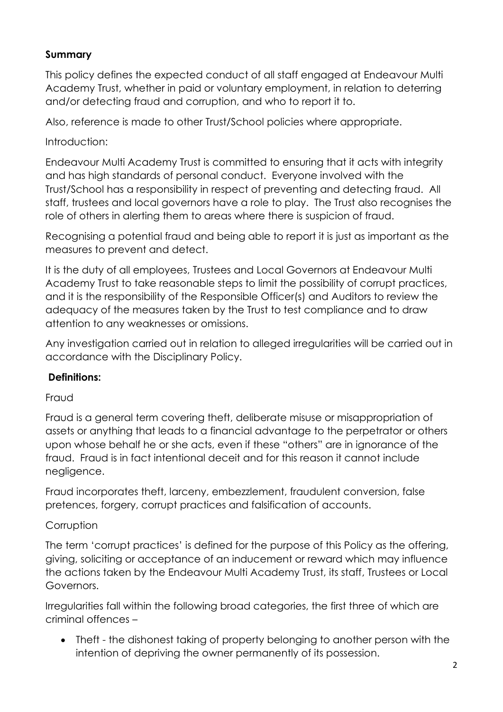## **Summary**

This policy defines the expected conduct of all staff engaged at Endeavour Multi Academy Trust, whether in paid or voluntary employment, in relation to deterring and/or detecting fraud and corruption, and who to report it to.

Also, reference is made to other Trust/School policies where appropriate.

### Introduction:

Endeavour Multi Academy Trust is committed to ensuring that it acts with integrity and has high standards of personal conduct. Everyone involved with the Trust/School has a responsibility in respect of preventing and detecting fraud. All staff, trustees and local governors have a role to play. The Trust also recognises the role of others in alerting them to areas where there is suspicion of fraud.

Recognising a potential fraud and being able to report it is just as important as the measures to prevent and detect.

It is the duty of all employees, Trustees and Local Governors at Endeavour Multi Academy Trust to take reasonable steps to limit the possibility of corrupt practices, and it is the responsibility of the Responsible Officer(s) and Auditors to review the adequacy of the measures taken by the Trust to test compliance and to draw attention to any weaknesses or omissions.

Any investigation carried out in relation to alleged irregularities will be carried out in accordance with the Disciplinary Policy.

#### **Definitions:**

#### Fraud

Fraud is a general term covering theft, deliberate misuse or misappropriation of assets or anything that leads to a financial advantage to the perpetrator or others upon whose behalf he or she acts, even if these "others" are in ignorance of the fraud. Fraud is in fact intentional deceit and for this reason it cannot include negligence.

Fraud incorporates theft, larceny, embezzlement, fraudulent conversion, false pretences, forgery, corrupt practices and falsification of accounts.

#### **Corruption**

The term 'corrupt practices' is defined for the purpose of this Policy as the offering, giving, soliciting or acceptance of an inducement or reward which may influence the actions taken by the Endeavour Multi Academy Trust, its staff, Trustees or Local Governors.

Irregularities fall within the following broad categories, the first three of which are criminal offences –

• Theft - the dishonest taking of property belonging to another person with the intention of depriving the owner permanently of its possession.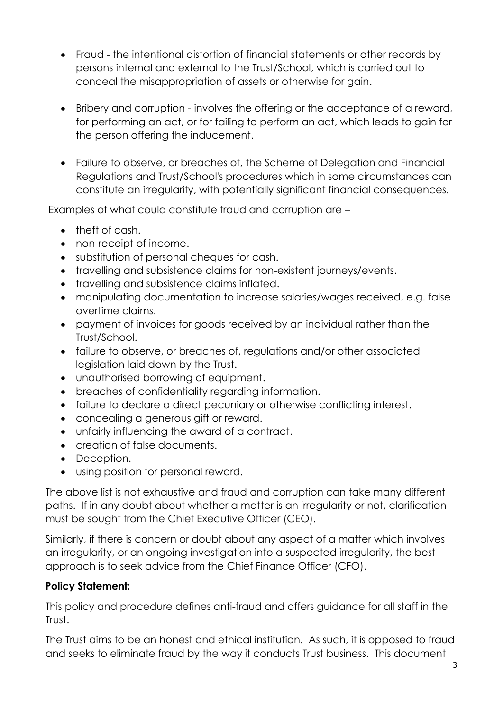- Fraud the intentional distortion of financial statements or other records by persons internal and external to the Trust/School, which is carried out to conceal the misappropriation of assets or otherwise for gain.
- Bribery and corruption involves the offering or the acceptance of a reward, for performing an act, or for failing to perform an act, which leads to gain for the person offering the inducement.
- Failure to observe, or breaches of, the Scheme of Delegation and Financial Regulations and Trust/School's procedures which in some circumstances can constitute an irregularity, with potentially significant financial consequences.

Examples of what could constitute fraud and corruption are –

- theft of cash.
- non-receipt of income.
- substitution of personal cheques for cash.
- travelling and subsistence claims for non-existent journeys/events.
- travelling and subsistence claims inflated.
- manipulating documentation to increase salaries/wages received, e.g. false overtime claims.
- payment of invoices for goods received by an individual rather than the Trust/School.
- failure to observe, or breaches of, regulations and/or other associated legislation laid down by the Trust.
- unauthorised borrowing of equipment.
- breaches of confidentiality regarding information.
- failure to declare a direct pecuniary or otherwise conflicting interest.
- concealing a generous gift or reward.
- unfairly influencing the award of a contract.
- creation of false documents.
- Deception.
- using position for personal reward.

The above list is not exhaustive and fraud and corruption can take many different paths. If in any doubt about whether a matter is an irregularity or not, clarification must be sought from the Chief Executive Officer (CEO).

Similarly, if there is concern or doubt about any aspect of a matter which involves an irregularity, or an ongoing investigation into a suspected irregularity, the best approach is to seek advice from the Chief Finance Officer (CFO).

# **Policy Statement:**

This policy and procedure defines anti-fraud and offers guidance for all staff in the Trust.

The Trust aims to be an honest and ethical institution. As such, it is opposed to fraud and seeks to eliminate fraud by the way it conducts Trust business. This document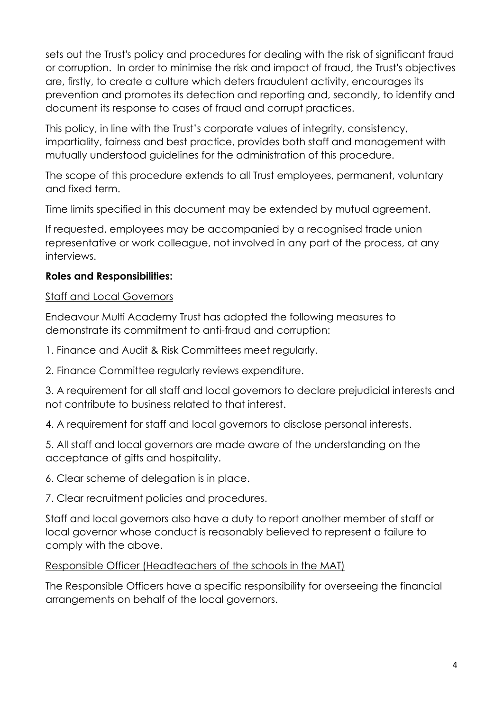sets out the Trust's policy and procedures for dealing with the risk of significant fraud or corruption. In order to minimise the risk and impact of fraud, the Trust's objectives are, firstly, to create a culture which deters fraudulent activity, encourages its prevention and promotes its detection and reporting and, secondly, to identify and document its response to cases of fraud and corrupt practices.

This policy, in line with the Trust's corporate values of integrity, consistency, impartiality, fairness and best practice, provides both staff and management with mutually understood guidelines for the administration of this procedure.

The scope of this procedure extends to all Trust employees, permanent, voluntary and fixed term.

Time limits specified in this document may be extended by mutual agreement.

If requested, employees may be accompanied by a recognised trade union representative or work colleague, not involved in any part of the process, at any interviews.

#### **Roles and Responsibilities:**

#### Staff and Local Governors

Endeavour Multi Academy Trust has adopted the following measures to demonstrate its commitment to anti-fraud and corruption:

1. Finance and Audit & Risk Committees meet regularly.

2. Finance Committee regularly reviews expenditure.

3. A requirement for all staff and local governors to declare prejudicial interests and not contribute to business related to that interest.

4. A requirement for staff and local governors to disclose personal interests.

5. All staff and local governors are made aware of the understanding on the acceptance of gifts and hospitality.

6. Clear scheme of delegation is in place.

7. Clear recruitment policies and procedures.

Staff and local governors also have a duty to report another member of staff or local governor whose conduct is reasonably believed to represent a failure to comply with the above.

Responsible Officer (Headteachers of the schools in the MAT)

The Responsible Officers have a specific responsibility for overseeing the financial arrangements on behalf of the local governors.